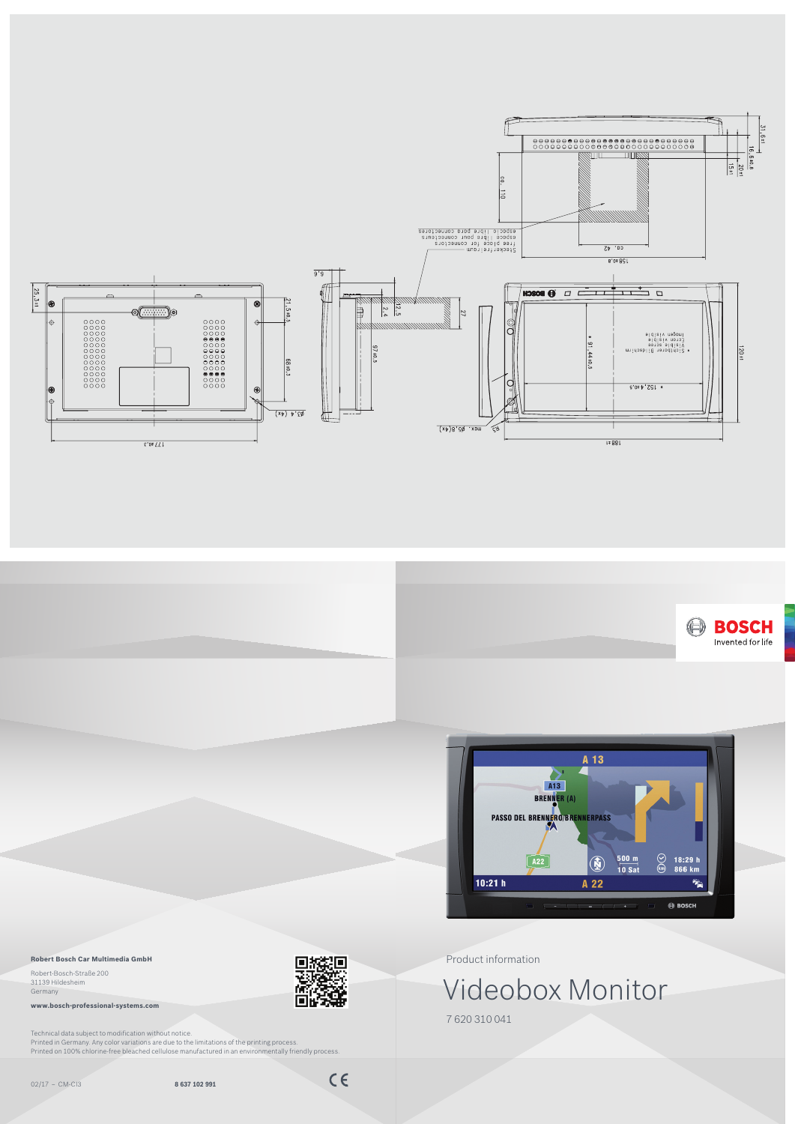Product information

7 620 310 041

Videobox Monitor

02/17 – CM-CI3 **8 637 102 991**







## **Robert Bosch Car Multimedia GmbH**

Robert-Bosch-Straße 200 31139 Hildesheim Germany

**www.bosch-professional-systems.com**

Technical data subject to modification without notice. Printed in Germany. Any color variations are due to the limitations of the printing process. Printed on 100% chlorine-free bleached cellulose manufactured in an environmentally friendly process.